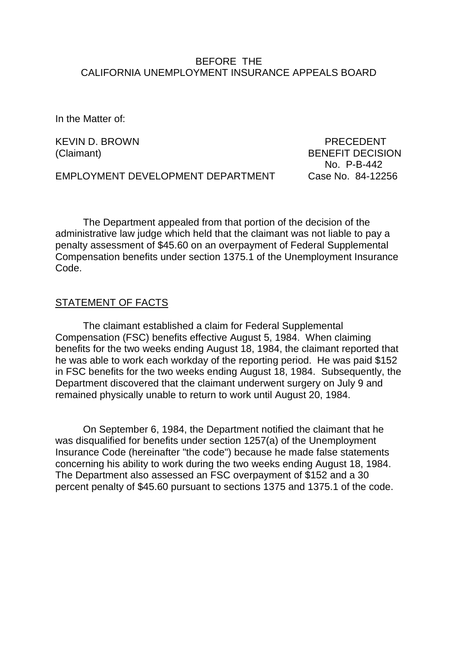### BEFORE THE CALIFORNIA UNEMPLOYMENT INSURANCE APPEALS BOARD

In the Matter of:

KEVIN D. BROWN NEWSLEY BROWN RECEDENT

(Claimant) BENEFIT DECISION No. P-B-442

EMPLOYMENT DEVELOPMENT DEPARTMENT Case No. 84-12256

The Department appealed from that portion of the decision of the administrative law judge which held that the claimant was not liable to pay a penalty assessment of \$45.60 on an overpayment of Federal Supplemental Compensation benefits under section 1375.1 of the Unemployment Insurance Code.

### STATEMENT OF FACTS

The claimant established a claim for Federal Supplemental Compensation (FSC) benefits effective August 5, 1984. When claiming benefits for the two weeks ending August 18, 1984, the claimant reported that he was able to work each workday of the reporting period. He was paid \$152 in FSC benefits for the two weeks ending August 18, 1984. Subsequently, the Department discovered that the claimant underwent surgery on July 9 and remained physically unable to return to work until August 20, 1984.

On September 6, 1984, the Department notified the claimant that he was disqualified for benefits under section 1257(a) of the Unemployment Insurance Code (hereinafter "the code") because he made false statements concerning his ability to work during the two weeks ending August 18, 1984. The Department also assessed an FSC overpayment of \$152 and a 30 percent penalty of \$45.60 pursuant to sections 1375 and 1375.1 of the code.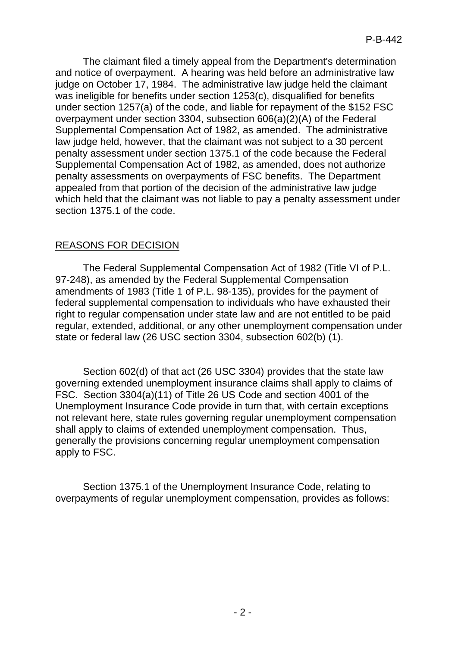The claimant filed a timely appeal from the Department's determination and notice of overpayment. A hearing was held before an administrative law judge on October 17, 1984. The administrative law judge held the claimant was ineligible for benefits under section 1253(c), disqualified for benefits under section 1257(a) of the code, and liable for repayment of the \$152 FSC overpayment under section 3304, subsection 606(a)(2)(A) of the Federal Supplemental Compensation Act of 1982, as amended. The administrative law judge held, however, that the claimant was not subject to a 30 percent penalty assessment under section 1375.1 of the code because the Federal Supplemental Compensation Act of 1982, as amended, does not authorize penalty assessments on overpayments of FSC benefits. The Department appealed from that portion of the decision of the administrative law judge which held that the claimant was not liable to pay a penalty assessment under section 1375.1 of the code.

# REASONS FOR DECISION

The Federal Supplemental Compensation Act of 1982 (Title VI of P.L. 97-248), as amended by the Federal Supplemental Compensation amendments of 1983 (Title 1 of P.L. 98-135), provides for the payment of federal supplemental compensation to individuals who have exhausted their right to regular compensation under state law and are not entitled to be paid regular, extended, additional, or any other unemployment compensation under state or federal law (26 USC section 3304, subsection 602(b) (1).

Section 602(d) of that act (26 USC 3304) provides that the state law governing extended unemployment insurance claims shall apply to claims of FSC. Section 3304(a)(11) of Title 26 US Code and section 4001 of the Unemployment Insurance Code provide in turn that, with certain exceptions not relevant here, state rules governing regular unemployment compensation shall apply to claims of extended unemployment compensation. Thus, generally the provisions concerning regular unemployment compensation apply to FSC.

Section 1375.1 of the Unemployment Insurance Code, relating to overpayments of regular unemployment compensation, provides as follows: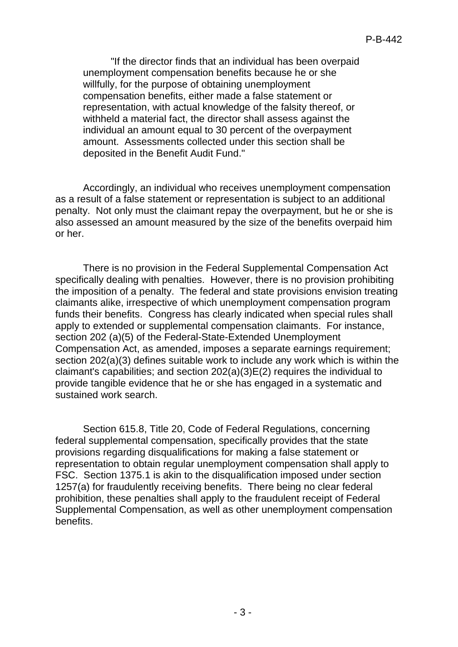"If the director finds that an individual has been overpaid unemployment compensation benefits because he or she willfully, for the purpose of obtaining unemployment compensation benefits, either made a false statement or representation, with actual knowledge of the falsity thereof, or withheld a material fact, the director shall assess against the individual an amount equal to 30 percent of the overpayment amount. Assessments collected under this section shall be deposited in the Benefit Audit Fund."

Accordingly, an individual who receives unemployment compensation as a result of a false statement or representation is subject to an additional penalty. Not only must the claimant repay the overpayment, but he or she is also assessed an amount measured by the size of the benefits overpaid him or her.

There is no provision in the Federal Supplemental Compensation Act specifically dealing with penalties. However, there is no provision prohibiting the imposition of a penalty. The federal and state provisions envision treating claimants alike, irrespective of which unemployment compensation program funds their benefits. Congress has clearly indicated when special rules shall apply to extended or supplemental compensation claimants. For instance, section 202 (a)(5) of the Federal-State-Extended Unemployment Compensation Act, as amended, imposes a separate earnings requirement; section 202(a)(3) defines suitable work to include any work which is within the claimant's capabilities; and section 202(a)(3)E(2) requires the individual to provide tangible evidence that he or she has engaged in a systematic and sustained work search.

Section 615.8, Title 20, Code of Federal Regulations, concerning federal supplemental compensation, specifically provides that the state provisions regarding disqualifications for making a false statement or representation to obtain regular unemployment compensation shall apply to FSC. Section 1375.1 is akin to the disqualification imposed under section 1257(a) for fraudulently receiving benefits. There being no clear federal prohibition, these penalties shall apply to the fraudulent receipt of Federal Supplemental Compensation, as well as other unemployment compensation benefits.